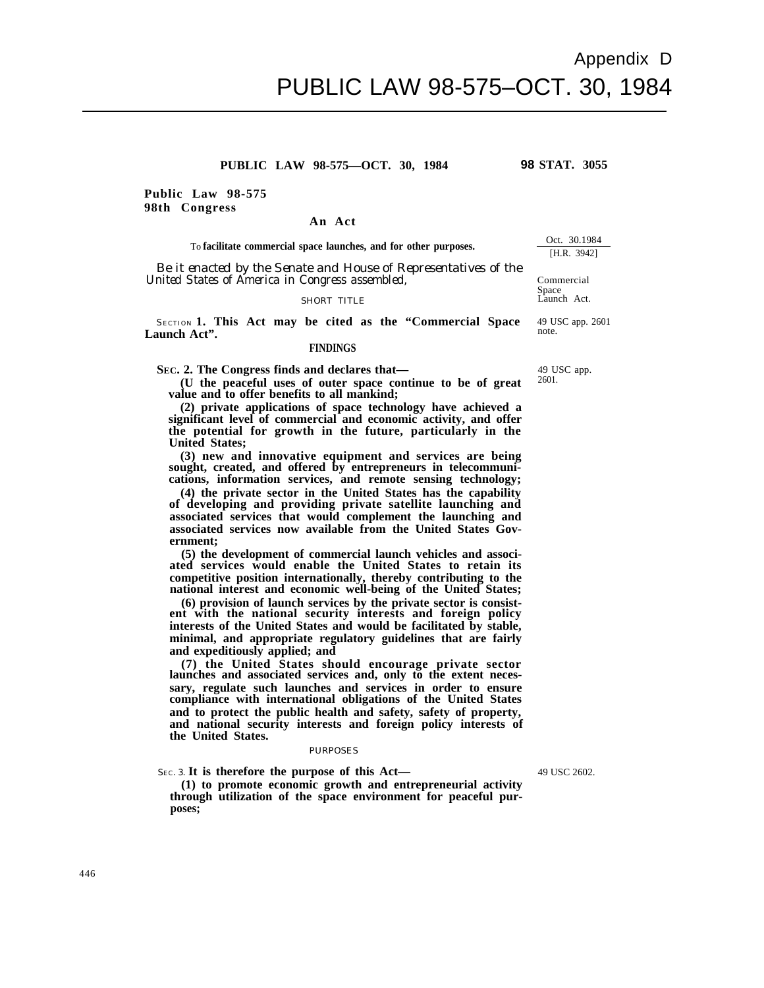**(4) the private sector in the United States has the capability of developing and providing private satellite launching and associated services that would complement the launching and associated services now available from the United States Government;**

**ated services would enable the United States to retain its competitive position internationally, thereby contributing to the national interest and economic well-being of the United States;**

**(6) provision of launch services by the private sector is consistent with the national security interests and foreign policy interests of the United States and would be facilitated by stable,**

**(7) the United States should encourage private sector and national security interests and foreign policy interests of**

## PURPOSES

SEC. 3. **It is therefore the purpose of this Act—**

**(1) to promote economic growth and entrepreneurial activity through utilization of the space environment for peaceful purposes;**

**Public Law 98-575 98th Congress**

To **facilitate commercial space launches, and for other purposes.**

**An Act**

**PUBLIC LAW 98-575—OCT. 30, 1984**

*Be it enacted by the Senate and House of Representatives of the United States of America in Congress assembled,*

## SHORT TITLE

SECTION **1. This Act may be cited as the "Commercial Space Launch Act".**

## **FINDINGS**

**SEC. 2. The Congress finds and declares that—**

**(U the peaceful uses of outer space continue to be of great value and to offer benefits to all mankind;**

**(2) private applications of space technology have achieved a significant level of commercial and economic activity, and offer the potential for growth in the future, particularly in the United States;**

**(3) new and innovative equipment and services are being sought, created, and offered by entrepreneurs in telecommunications, information services, and remote sensing technology;**

**(5) the development of commercial launch vehicles and associ-**

**minimal, and appropriate regulatory guidelines that are fairly and expeditiously applied; and**

**launches and associated services and, only to the extent necessary, regulate such launches and services in order to ensure compliance with international obligations of the United States and to protect the public health and safety, safety of property, the United States.**

49 USC 2602.

Space Launch Act.

Commercial

Oct. 30.1984 [H.R. 3942]

49 USC app. 2601 note.

49 USC app. 2601.

**98 STAT. 3055**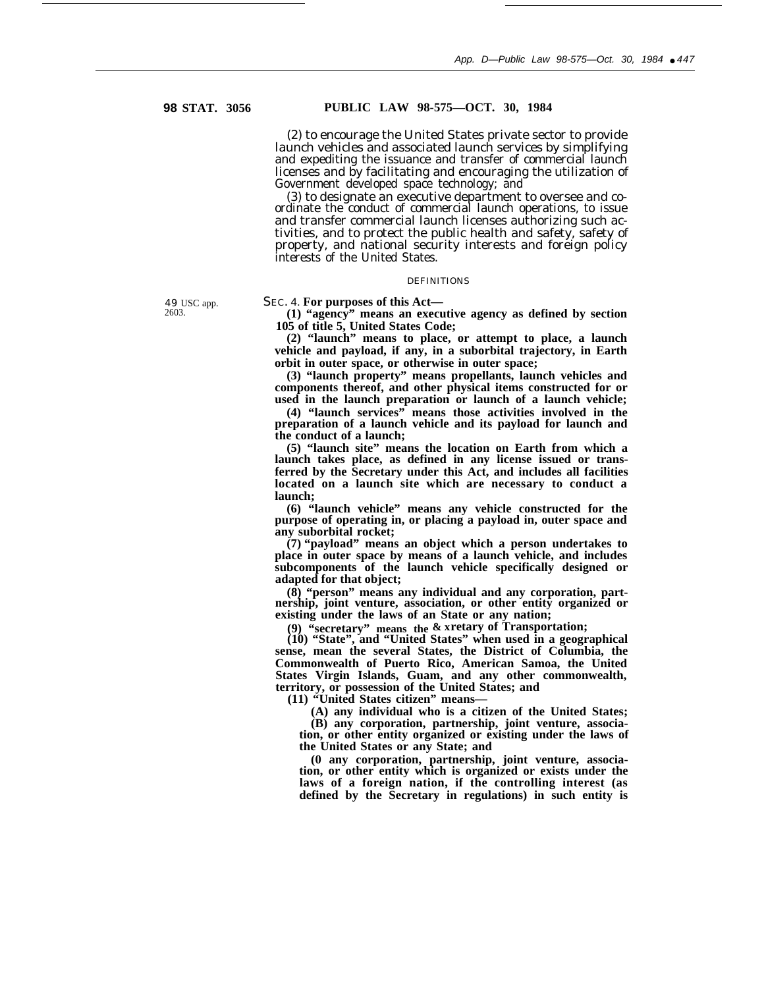# **98 STAT. 3056 PUBLIC LAW 98-575—OCT. 30, 1984**

(2) to encourage the United States private sector to provide launch vehicles and associated launch services by simplifying and expediting the issuance and transfer of commercial launch licenses and by facilitating and encouraging the utilization of Government developed space technology; and

(3) to designate an executive department to oversee and coordinate the conduct of commercial launch operations, to issue and transfer commercial launch licenses authorizing such activities, and to protect the public health and safety, safety of property, and national security interests and foreign policy interests of the United States.

## DEFINITIONS

49 USC app. 2603.

SEC. 4. **For purposes of this Act—**

**(1) "agency" means an executive agency as defined by section 105 of title 5, United States Code;**

**(2) "launch" means to place, or attempt to place, a launch vehicle and payload, if any, in a suborbital trajectory, in Earth orbit in outer space, or otherwise in outer space;**

**(3) "launch property" means propellants, launch vehicles and components thereof, and other physical items constructed for or used in the launch preparation or launch of a launch vehicle;**

**(4) "launch services" means those activities involved in the preparation of a launch vehicle and its payload for launch and the conduct of a launch;**

**(5) "launch site" means the location on Earth from which a launch takes place, as defined in any license issued or transferred by the Secretary under this Act, and includes all facilities located on a launch site which are necessary to conduct a launch;**

**(6) "launch vehicle" means any vehicle constructed for the purpose of operating in, or placing a payload in, outer space and any suborbital rocket;**

**(7) "payload" means an object which a person undertakes to place in outer space by means of a launch vehicle, and includes subcomponents of the launch vehicle specifically designed or adapted for that object;**

**(8) "person" means any individual and any corporation, partnership, joint venture, association, or other entity organized or existing under the laws of an State or any nation;**

**(9) "secretary" means the & xretary of Transportation;**

**(10) "State", and "United States" when used in a geographical sense, mean the several States, the District of Columbia, the Commonwealth of Puerto Rico, American Samoa, the United States Virgin Islands, Guam, and any other commonwealth, territory, or possession of the United States; and**

**(11) "United States citizen" means—**

**(A) any individual who is a citizen of the United States; (B) any corporation, partnership, joint venture, associa-**

**tion, or other entity organized or existing under the laws of the United States or any State; and**

**(0 any corporation, partnership, joint venture, association, or other entity which is organized or exists under the laws of a foreign nation, if the controlling interest (as defined by the Secretary in regulations) in such entity is**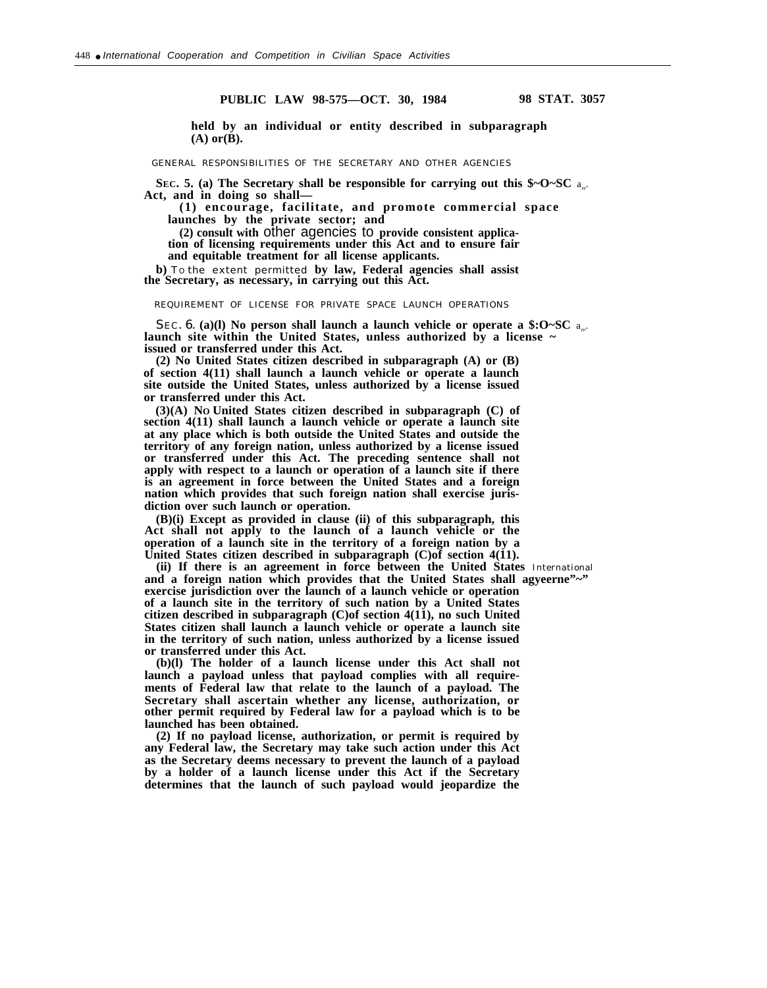**held by an individual or entity described in subparagraph (A) or(B).**

GENERAL RESPONSIBILITIES OF THE SECRETARY AND OTHER AGENCIES

**SEC.** 5. (a) The Secretary shall be responsible for carrying out this  $\phi \sim 0$  SC a<sub>n</sub>. **Act, and in doing so shall—**

**(1) encourage, facilitate, and promote commercial space launches by the private sector; and**

**(2) consult with** other agencies to **provide consistent applica-**

**tion of licensing requirements under this Act and to ensure fair**

**and equitable treatment for all license applicants.**

**b)** TO the extent permitted **by law, Federal agencies shall assist the Secretary, as necessary, in carrying out this Act.**

REQUIREMENT OF LICENSE FOR PRIVATE SPACE LAUNCH OPERATIONS

*SEC*. 6. (a)(1) No person shall launch a launch vehicle or operate a \$:O~SC  $a_{\infty}$ . **launch site within the United States, unless authorized by a license ~ issued or transferred under this Act.**

**(2) No United States citizen described in subparagraph (A) or (B) of section 4(11) shall launch a launch vehicle or operate a launch site outside the United States, unless authorized by a license issued or transferred under this Act.**

**(3)(A) NO United States citizen described in subparagraph (C) of section 4(11) shall launch a launch vehicle or operate a launch site at any place which is both outside the United States and outside the territory of any foreign nation, unless authorized by a license issued or transferred under this Act. The preceding sentence shall not apply with respect to a launch or operation of a launch site if there is an agreement in force between the United States and a foreign nation which provides that such foreign nation shall exercise jurisdiction over such launch or operation.**

**(B)(i) Except as provided in clause (ii) of this subparagraph, this Act shall not apply to the launch of a launch vehicle or the operation of a launch site in the territory of a foreign nation by a** United States citizen described in subparagraph (C)of section 4(11).

**(ii) If there is an agreement in force between the United States** International **and a foreign nation which provides that the United States shall agyeerne"~" exercise jurisdiction over the launch of a launch vehicle or operation of a launch site in the territory of such nation by a United States citizen described in subparagraph (C)of section 4(11), no such United States citizen shall launch a launch vehicle or operate a launch site in the territory of such nation, unless authorized by a license issued or transferred under this Act.**

**(b)(l) The holder of a launch license under this Act shall not launch a payload unless that payload complies with all requirements of Federal law that relate to the launch of a payload. The Secretary shall ascertain whether any license, authorization, or other permit required by Federal law for a payload which is to be launched has been obtained.**

**(2) If no payload license, authorization, or permit is required by any Federal law, the Secretary may take such action under this Act as the Secretary deems necessary to prevent the launch of a payload by a holder of a launch license under this Act if the Secretary determines that the launch of such payload would jeopardize the**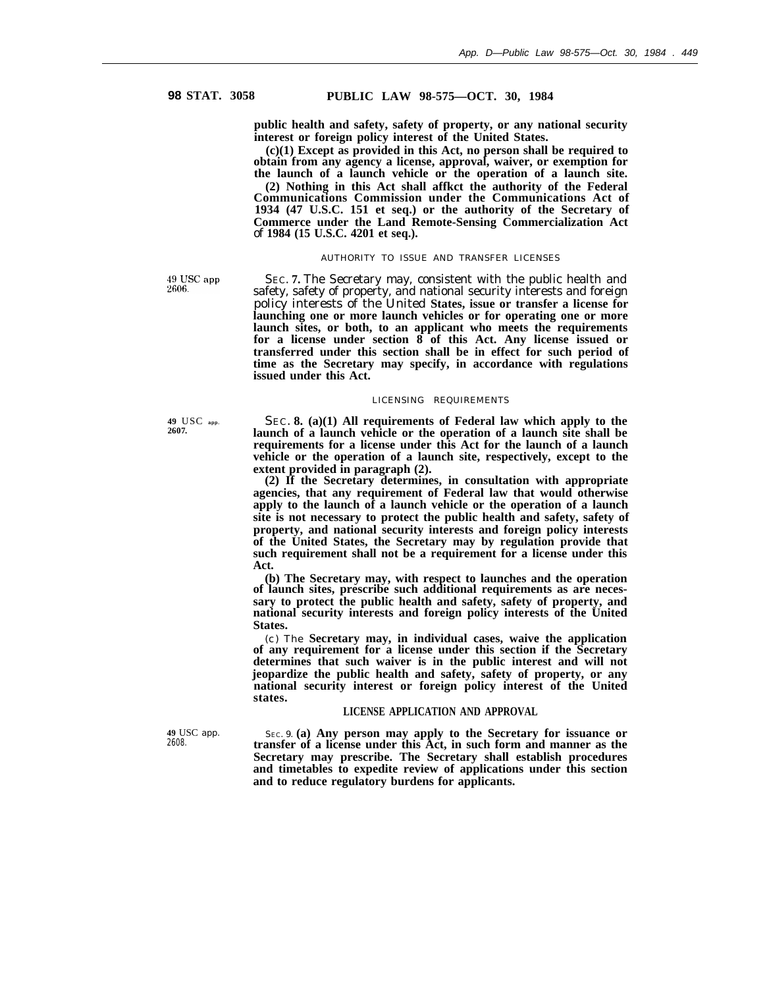**public health and safety, safety of property, or any national security interest or foreign policy interest of the United States.**

**(c)(1) Except as provided in this Act, no person shall be required to obtain from any agency a license, approval, waiver, or exemption for the launch of a launch vehicle or the operation of a launch site.**

**(2) Nothing in this Act shall affkct the authority of the Federal Communications Commission under the Communications Act of 1934 (47 U.S.C. 151 et seq.) or the authority of the Secretary of Commerce under the Land Remote-Sensing Commercialization Act** of **1984 (15 U.S.C. 4201 et seq.).**

## AUTHORITY TO ISSUE AND TRANSFER LICENSES

49 USC app 2606.

SEC. **7.** The Secretary may, consistent with the public health and safety, safety of property, and national security interests and foreign policy interests of the United **States, issue or transfer a license for launching one or more launch vehicles or for operating one or more launch sites, or both, to an applicant who meets the requirements for a license under section 8 of this Act. Any license issued or transferred under this section shall be in effect for such period of time as the Secretary may specify, in accordance with regulations issued under this Act.**

## LICENSING REQUIREMENTS

**49** USC **app.** SEC. **8. (a)(1) All requirements of Federal law which apply to the 2607. launch of a launch vehicle or the operation of a launch site shall be requirements for a license under this Act for the launch of a launch vehicle or the operation of a launch site, respectively, except to the extent provided in paragraph (2).**

**(2) If the Secretary determines, in consultation with appropriate agencies, that any requirement of Federal law that would otherwise apply to the launch of a launch vehicle or the operation of a launch site is not necessary to protect the public health and safety, safety of property, and national security interests and foreign policy interests of the United States, the Secretary may by regulation provide that such requirement shall not be a requirement for a license under this Act.**

**(b) The Secretary may, with respect to launches and the operation of launch sites, prescribe such additional requirements as are necessary to protect the public health and safety, safety of property, and national security interests and foreign policy interests of the United States.**

(c) The **Secretary may, in individual cases, waive the application of any requirement for a license under this section if the Secretary determines that such waiver is in the public interest and will not jeopardize the public health and safety, safety of property, or any national security interest or foreign policy interest of the United states.**

## **LICENSE APPLICATION AND APPROVAL**

**49** USC app. SEC. 9. **(a) Any person may apply to the Secretary for issuance or** transfer of a license under this Act, in such form and manner as the **Secretary may prescribe. The Secretary shall establish procedures and timetables to expedite review of applications under this section and to reduce regulatory burdens for applicants.**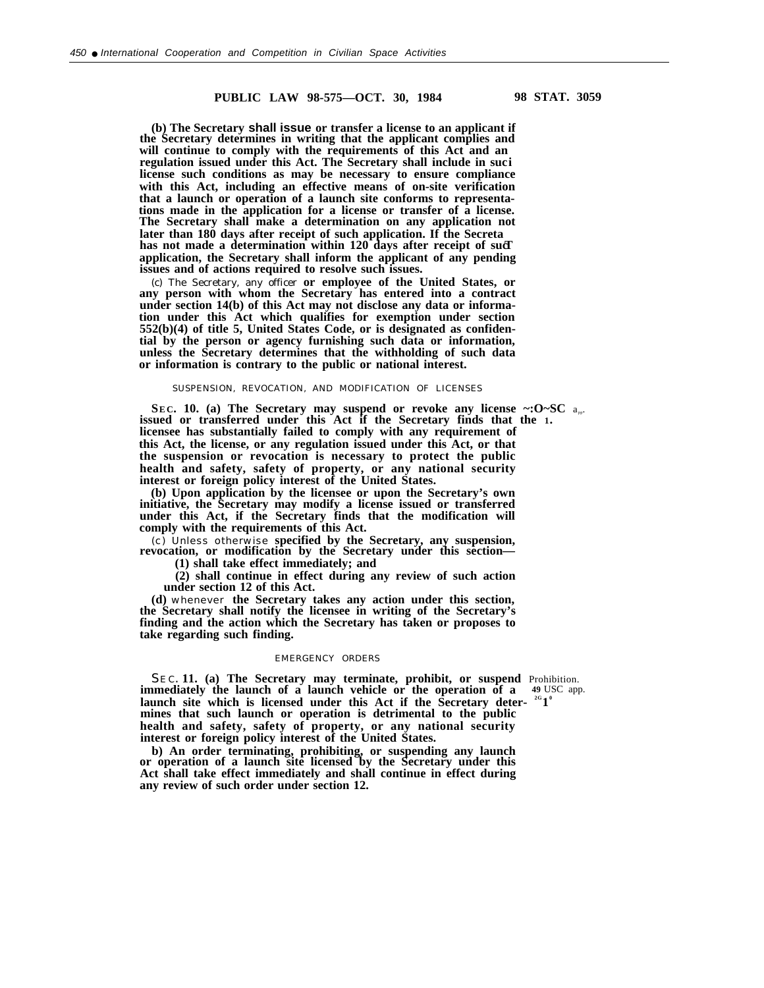**(b) The Secretary shall issue or transfer a license to an applicant if the Secretary determines in writing that the applicant complies and will continue to comply with the requirements of this Act and an regulation issued under this Act. The Secretary shall include in suci license such conditions as may be necessary to ensure compliance with this Act, including an effective means of on-site verification that a launch or operation of a launch site conforms to representations made in the application for a license or transfer of a license. The Secretary shall make a determination on any application not later than 180 days after receipt of such application. If the Secreta** has not made a determination within 120 days after receipt of such **application, the Secretary shall inform the applicant of any pending issues and of actions required to resolve such issues.**

(c) The Secretary, any officer **or employee of the United States, or any person with whom the Secretary has entered into a contract under section 14(b) of this Act may not disclose any data or information under this Act which qualifies for exemption under section 552(b)(4) of title 5, United States Code, or is designated as confidential by the person or agency furnishing such data or information, unless the Secretary determines that the withholding of such data or information is contrary to the public or national interest.**

## SUSPENSION, REVOCATION, AND MODIFICATION OF LICENSES

**SEC. 10.** (a) The Secretary may suspend or revoke any license ~: O~SC a<sub>pp</sub>. **issued or transferred under this Act if the Secretary finds that the 1. licensee has substantially failed to comply with any requirement of this Act, the license, or any regulation issued under this Act, or that the suspension or revocation is necessary to protect the public health and safety, safety of property, or any national security interest or foreign policy interest of the United States.**

**(b) Upon application by the licensee or upon the Secretary's own initiative, the Secretary may modify a license issued or transferred under this Act, if the Secretary finds that the modification will comply with the requirements of this Act.**

(c) Unless otherwise **specified by the Secretary, any suspension, revocation, or modification by the Secretary under this section—**

**(1) shall take effect immediately; and**

**(2) shall continue in effect during any review of such action under section 12 of this Act.**

**(d)** whenever **the Secretary takes any action under this section, the Secretary shall notify the licensee in writing of the Secretary's finding and the action which the Secretary has taken or proposes to take regarding such finding.**

#### EMERGENCY ORDERS

SEC. **11.** (a) The Secretary may terminate, prohibit, or suspend Prohibition.<br>
nmediately the launch of a launch vehicle or the operation of a 49 USC app. **immediately the launch of a launch vehicle or the operation of a** launch site which is licensed under this Act if the Secretary deter-  $^{2G}1^{\circ}$ **mines that such launch or operation is detrimental to the public health and safety, safety of property, or any national security interest or foreign policy interest of the United States.**

**b) An order terminating, prohibiting, or suspending any launch or operation of a launch site licensed by the Secretary under this Act shall take effect immediately and shall continue in effect during any review of such order under section 12.**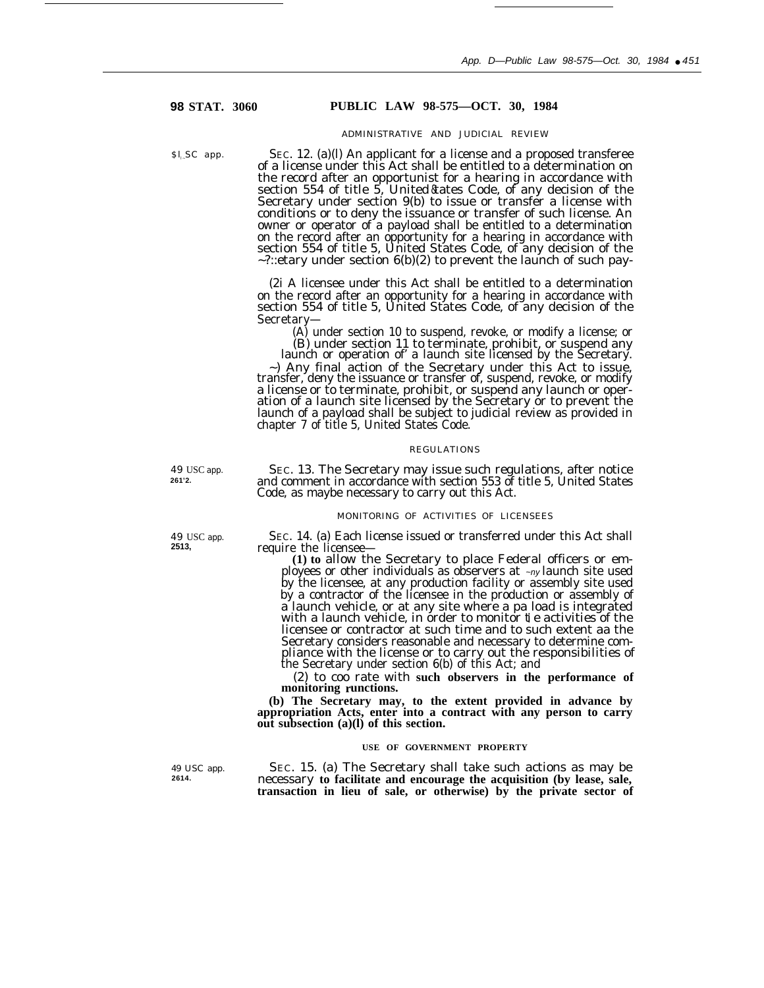# **98 STAT. 3060 PUBLIC LAW 98-575—OCT. 30, 1984**

### ADMINISTRATIVE AND JUDICIAL REVIEW

 $s<sub>l</sub>SC$  app. SEC. 12. (a)(l) An applicant for a license and a proposed transferee of a license under this Act shall be entitled to a determination on the record after an opportunist for a hearing in accordance with section 554 of title 5, United&ates Code, of any decision of the Secretary under section 9(b) to issue or transfer a license with conditions or to deny the issuance or transfer of such license. An owner or operator of a payload shall be entitled to a determination on the record after an opportunity for a hearing in accordance with section 554 of title 5, United States Code, of any decision of the  $\sim$  ?::etary under section 6(b)(2) to prevent the launch of such pay-

> (2i A licensee under this Act shall be entitled to a determination on the record after an opportunity for a hearing in accordance with section 554 of title 5, United States Code, of any decision of the Secretary—

(A) under section 10 to suspend, revoke, or modify a license; or (B) under section 11 to terminate, prohibit, or suspend any

launch or operation of' a launch site licensed by the Secretary. ~) Any final action of the Secretary under this Act to issue, transfer, deny the issuance or transfer of, suspend, revoke, or modify a license or to terminate, prohibit, or suspend any launch or operation of a launch site licensed by the Secretary or to prevent the launch of a payload shall be subject to judicial review as provided in chapter 7 of title 5, United States Code.

#### REGULATIONS

49 USC app. SEC. 13. The Secretary may issue such regulations, after notice **261'2.** and comment in accordance with section 553 of title 5, United States Code, as maybe necessary to carry out this Act.

#### MONITORING OF ACTIVITIES OF LICENSEES

49 USC app. SEC. 14. (a) Each license issued or transferred under this Act shall  $2513$ . **2513,** require the licensee—

**(1) to** allow the Secretary to place Federal officers or employees or other individuals as observers at  $\sim_{ny}$  launch site used by the licensee, at any production facility or assembly site used by a contractor of the licensee in the production or assembly of a launch vehicle, or at any site where a pa load is integrated with a launch vehicle, in order to monitor **t** e activities of the licensee or contractor at such time and to such extent aa the Secretary considers reasonable and necessary to determine compliance with the license or to carry out the responsibilities of the Secretary under section 6(b) of this Act; and

(2) to coo rate with **such observers in the performance of monitoring unctions. r**

**(b) The Secretary may, to the extent provided in advance by appropriation Acts, enter into a contract with any person to carry out subsection (a)(l) of this section.**

### **USE OF GOVERNMENT PROPERTY**

49 USC app. SEC. 15. (a) The Secretary shall take such actions as may be  $\frac{2614}{2614}$ . **2614.** necessary **to facilitate and encourage the acquisition (by lease, sale, transaction in lieu of sale, or otherwise) by the private sector of**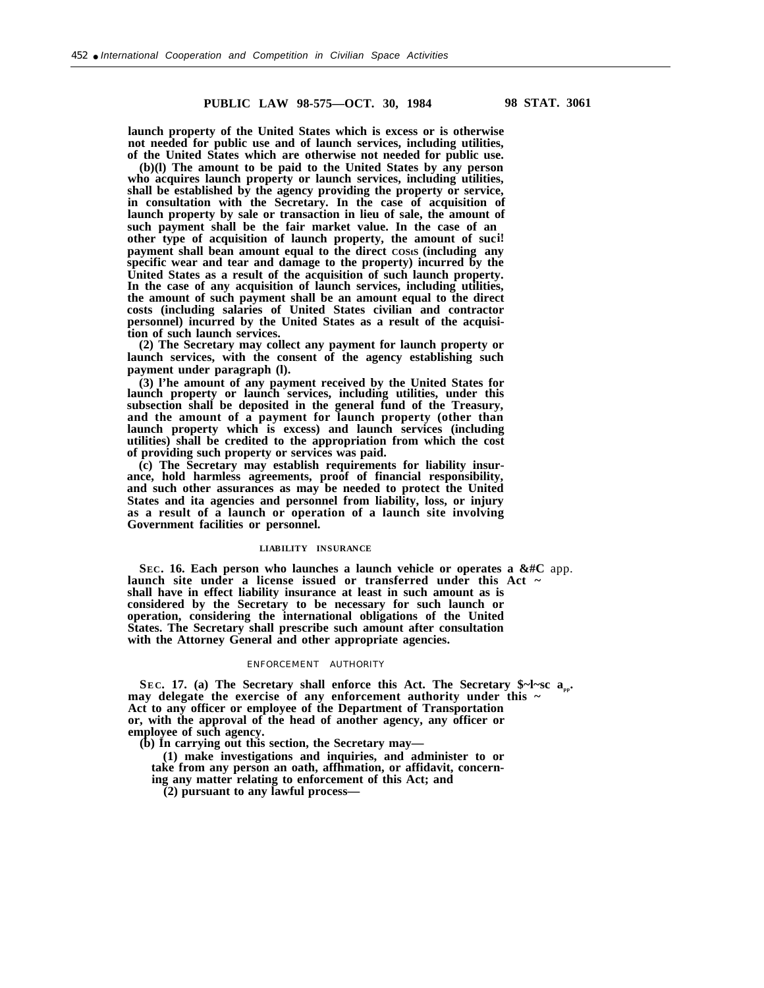**launch property of the United States which is excess or is otherwise not needed for public use and of launch services, including utilities, of the United States which are otherwise not needed for public use.**

**(b)(l) The amount to be paid to the United States by any person who acquires launch property or launch services, including utilities, shall be established by the agency providing the property or service, in consultation with the Secretary. In the case of acquisition of launch property by sale or transaction in lieu of sale, the amount of such payment shall be the fair market value. In the case of an other type of acquisition of launch property, the amount of suci! payment shall bean amount equal to the direct COStS (including any specific wear and tear and damage to the property) incurred by the United States as a result of the acquisition of such launch property. In the case of any acquisition of launch services, including utilities, the amount of such payment shall be an amount equal to the direct costs (including salaries of United States civilian and contractor personnel) incurred by the United States as a result of the acquisition of such launch services.**

**(2) The Secretary may collect any payment for launch property or launch services, with the consent of the agency establishing such payment under paragraph (l).**

**(3) l'he amount of any payment received by the United States for launch property or launch services, including utilities, under this subsection shall be deposited in the general fund of the Treasury, and the amount of a payment for launch property (other than launch property which is excess) and launch services (including utilities) shall be credited to the appropriation from which the cost of providing such property or services was paid.**

**(c) The Secretary may establish requirements for liability insurance, hold harmless agreements, proof of financial responsibility, and such other assurances as may be needed to protect the United States and ita agencies and personnel from liability, loss, or injury as a result of a launch or operation of a launch site involving Government facilities or personnel.**

# **LIABILITY INSURANCE**

**SEC. 16. Each person who launches a launch vehicle or operates a &#C** app. launch site under a license issued or transferred under this Act ~ **shall have in effect liability insurance at least in such amount as is considered by the Secretary to be necessary for such launch or operation, considering the international obligations of the United States. The Secretary shall prescribe such amount after consultation with the Attorney General and other appropriate agencies.**

## ENFORCEMENT AUTHORITY

**SEC.** 17. (a) The Secretary shall enforce this Act. The Secretary  $\frac{1}{2}$ -sc a<sub>nn</sub>. **may delegate the exercise of any enforcement authority under this ~ Act to any officer or employee of the Department of Transportation or, with the approval of the head of another agency, any officer or employee of such agency.**

**(b) In carrying out this section, the Secretary may—**

**(1) make investigations and inquiries, and administer to or take from any person an oath, affhmation, or affidavit, concerning any matter relating to enforcement of this Act; and**

**(2) pursuant to any lawful process—**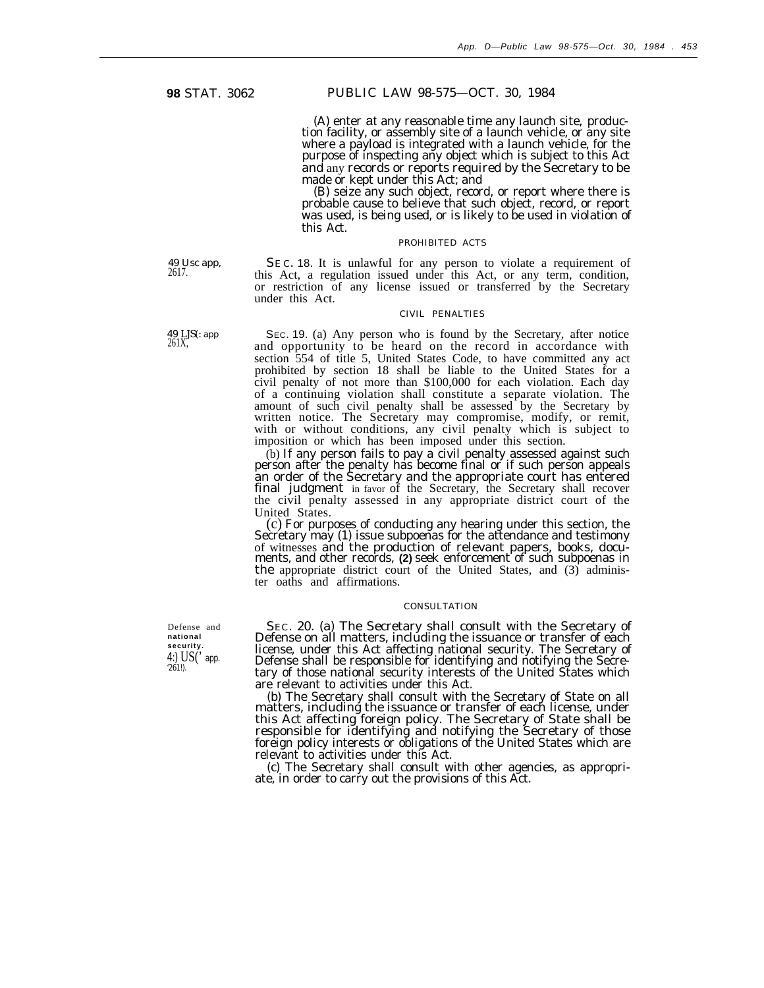# **98** STAT. 3062 PUBLIC LAW 98-575—OCT. 30, 1984

(A) enter at any reasonable time any launch site, *produc*tion facility, or assembly site of a launch vehicle, or any site where a payload is integrated with a launch vehicle, for the purpose of inspecting any object which is subject to this Act and any records or reports required by the Secretary to be made or kept under this Act; and

(B) seize any such object, record, or report where there is probable cause to believe that such object, record, or report was used, is being used, or is likely to be used in violation of this Act.

#### PROHIBITED ACTS

49 Usc app, SE C. 18. It is unlawful for any person to violate a requirement of 2617. this Act, a regulation issued under this Act, or any term, condition, or restriction of any license issued or transferred by the Secretary under this Act.

### CIVIL PENALTIES

49 LJS(: app SEC. 19. (a) Any person who is found by the Secretary, after notice 261X, and opportunity to be heard on the record in accordance with section 554 of title 5, United States Code, to have committed any act prohibited by section 18 shall be liable to the United States for a civil penalty of not more than \$100,000 for each violation. Each day of a continuing violation shall constitute a separate violation. The amount of such civil penalty shall be assessed by the Secretary by written notice. The Secretary may compromise, modify, or remit, with or without conditions, any civil penalty which is subject to imposition or which has been imposed under this section.

> (b) If any person fails to pay a civil penalty assessed against such person after the penalty has become final or if such person appeals an order of the Secretary and the appropriate court has entered final judgment in favor of the Secretary, the Secretary shall recover the civil penalty assessed in any appropriate district court of the United States.

> (c) For purposes of conducting any hearing under this section, the Secretary may (1) issue subpoenas for the attendance and testimony of witnesses and the production of relevant papers, books, documents, and other records, (2) seek enforcement of such subpoenas in the appropriate district court of the United States, and (3) administer oaths and affirmations.

## **CONSULTATION**

Defense and SEC. 20. (a) The Secretary shall consult with the Secretary of **national** Defense on all matters, including the issuance or transfer of each security.<br>
4:) US('app. license, under this Act affecting national security. The Secretary of<br>
4:) US('app. Defense shall be responsible for identifying and notifying the Secre-<br>
261!). are relevant to activities under this Act.

> (b) The Secretary shall consult with the Secretary of State on all matters, including the issuance or transfer of each license, under this Act affecting foreign policy. The Secretary of State shall be responsible for identifying and notifying the Secretary of those foreign policy interests or obligations of the United States which are relevant to activities under this Act.

> (c) The Secretary shall consult with other agencies, as appropriate, in order to carry out the provisions of this Act.